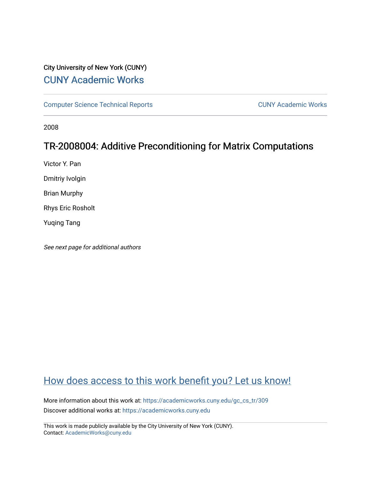## City University of New York (CUNY) [CUNY Academic Works](https://academicworks.cuny.edu/)

[Computer Science Technical Reports](https://academicworks.cuny.edu/gc_cs_tr) **CUNY Academic Works** CUNY Academic Works

2008

# TR-2008004: Additive Preconditioning for Matrix Computations

Victor Y. Pan

Dmitriy Ivolgin

Brian Murphy

Rhys Eric Rosholt

Yuqing Tang

See next page for additional authors

## [How does access to this work benefit you? Let us know!](http://ols.cuny.edu/academicworks/?ref=https://academicworks.cuny.edu/gc_cs_tr/309)

More information about this work at: [https://academicworks.cuny.edu/gc\\_cs\\_tr/309](https://academicworks.cuny.edu/gc_cs_tr/309)  Discover additional works at: [https://academicworks.cuny.edu](https://academicworks.cuny.edu/?)

This work is made publicly available by the City University of New York (CUNY). Contact: [AcademicWorks@cuny.edu](mailto:AcademicWorks@cuny.edu)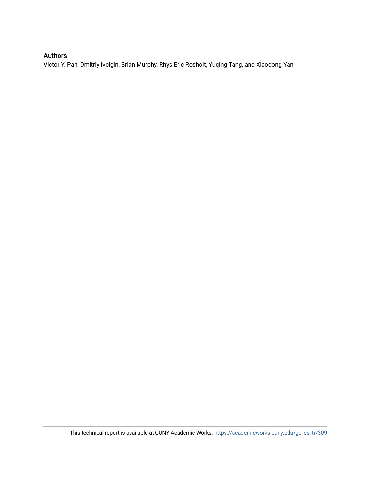## Authors

Victor Y. Pan, Dmitriy Ivolgin, Brian Murphy, Rhys Eric Rosholt, Yuqing Tang, and Xiaodong Yan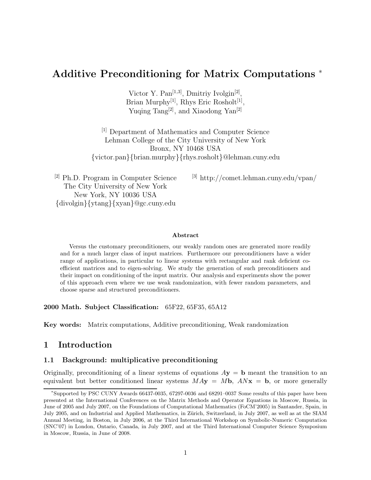## **Additive Preconditioning for Matrix Computations** <sup>∗</sup>

Victor Y. Pan<sup>[1,3]</sup>, Dmitriy Ivolgin<sup>[2]</sup>, Brian Murphy<sup>[1]</sup>, Rhys Eric Rosholt<sup>[1]</sup>, Yuqing Tang<sup>[2]</sup>, and Xiaodong Yan<sup>[2]</sup>

[1] Department of Mathematics and Computer Science Lehman College of the City University of New York Bronx, NY 10468 USA {victor.pan}{brian.murphy}{rhys.rosholt}@lehman.cuny.edu

[2] Ph.D. Program in Computer Science The City University of New York New York, NY 10036 USA {divolgin}{ytang}{xyan}@gc.cuny.edu

[3] http://comet.lehman.cuny.edu/vpan/

#### **Abstract**

Versus the customary preconditioners, our weakly random ones are generated more readily and for a much larger class of input matrices. Furthermore our preconditioners have a wider range of applications, in particular to linear systems with rectangular and rank deficient coefficient matrices and to eigen-solving. We study the generation of such preconditioners and their impact on conditioning of the input matrix. Our analysis and experiments show the power of this approach even where we use weak randomization, with fewer random parameters, and choose sparse and structured preconditioners.

**2000 Math. Subject Classification:** 65F22, 65F35, 65A12

**Key words:** Matrix computations, Additive preconditioning, Weak randomization

## **1 Introduction**

#### **1.1 Background: multiplicative preconditioning**

Originally, preconditioning of a linear systems of equations  $A$ **y** = **b** meant the transition to an equivalent but better conditioned linear systems  $MAy = Mb$ ,  $ANx = b$ , or more generally

<sup>∗</sup>Supported by PSC CUNY Awards 66437-0035, 67297-0036 and 68291–0037 Some results of this paper have been presented at the International Conferences on the Matrix Methods and Operator Equations in Moscow, Russia, in June of 2005 and July 2007, on the Foundations of Computational Mathematics (FoCM'2005) in Santander, Spain, in July 2005, and on Industrial and Applied Mathematics, in Zürich, Switzerland, in July 2007, as well as at the SIAM Annual Meeting, in Boston, in July 2006, at the Third International Workshop on Symbolic-Numeric Computation (SNC'07) in London, Ontario, Canada, in July 2007, and at the Third International Computer Science Symposium in Moscow, Russia, in June of 2008.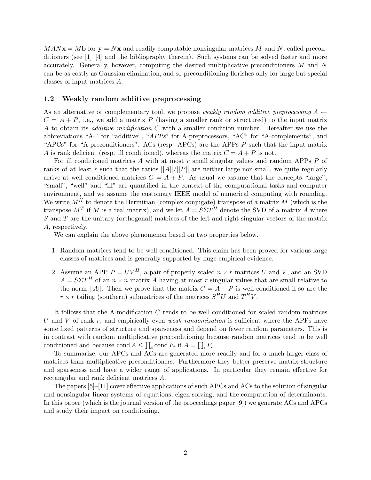$MAN**x** = M**b**$  for  **and readily computable nonsingular matrices M and N, called precon**ditioners (see  $[1]-[4]$  and the bibliography therein). Such systems can be solved faster and more accurately. Generally, however, computing the desired multiplicative preconditioners M and N can be as costly as Gaussian elimination, and so preconditioning florishes only for large but special classes of input matrices A.

#### **1.2 Weakly random additive preprocessing**

As an alternative or complementary tool, we propose *weakly random additive preprocessing*  $A \leftarrow$  $C = A + P$ , i.e., we add a matrix P (having a smaller rank or structured) to the input matrix A to obtain its *additive modification* C with a smaller condition number. Hereafter we use the abbreviations "A-" for "additive", "*APPs*" for A-preprocessors, "AC" for "A-complements", and "APCs" for "A-preconditioners". ACs (resp. APCs) are the APPs P such that the input matrix A is rank deficient (resp. ill conditioned), whereas the matrix  $C = A + P$  is not.

For ill conditioned matrices A with at most r small singular values and random APPs P of ranks of at least r such that the ratios  $||A||/||P||$  are neither large nor small, we quite regularly arrive at well conditioned matrices  $C = A + P$ . As usual we assume that the concepts "large", "small", "well" and "ill" are quantified in the context of the computational tasks and computer environment, and we assume the customary IEEE model of numerical computing with rounding. We write  $M^H$  to denote the Hermitian (complex conjugate) transpose of a matrix M (which is the transpose  $M^T$  if M is a real matrix), and we let  $A = S\Sigma T^H$  denote the SVD of a matrix A where S and T are the unitary (orthogonal) matrices of the left and right singular vectors of the matrix A, respectively.

We can explain the above phenomenon based on two properties below.

- 1. Random matrices tend to be well conditioned. This claim has been proved for various large classes of matrices and is generally supported by huge empirical evidence.
- 2. Assume an APP  $P = UV^H$ , a pair of properly scaled  $n \times r$  matrices U and V, and an SVD  $A = S\Sigma T^H$  of an  $n \times n$  matrix A having at most r singular values that are small relative to the norm  $||A||$ . Then we prove that the matrix  $C = A + P$  is well conditioned if so are the  $r \times r$  tailing (southern) submatrices of the matrices  $S^H U$  and  $T^H V$ .

It follows that the A-modification C tends to be well conditioned for scaled random matrices U and V of rank r, and empirically even *weak randomization* is sufficient where the APPs have some fixed patterns of structure and sparseness and depend on fewer random parameters. This is in contrast with random multiplicative preconditioning because random matrices tend to be well conditioned and because cond  $A \leq \prod_i \text{cond } F_i$  if  $A = \prod_i F_i$ .

To summarize, our APCs and ACs are generated more readily and for a much larger class of matrices than multiplicative preconditioners. Furthermore they better preserve matrix structure and sparseness and have a wider range of applications. In particular they remain effective for rectangular and rank deficient matrices A.

The papers [5]–[11] cover effective applications of such APCs and ACs to the solution of singular and nonsingular linear systems of equations, eigen-solving, and the computation of determinants. In this paper (which is the journal version of the proceedings paper [9]) we generate ACs and APCs and study their impact on conditioning.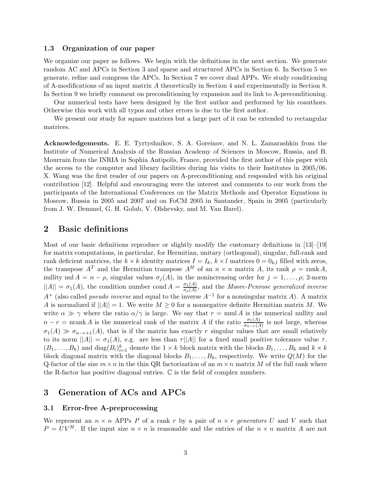#### **1.3 Organization of our paper**

We organize our paper as follows. We begin with the definitions in the next section. We generate random AC and APCs in Section 3 and sparse and structured APCs in Section 6. In Section 5 we generate, refine and compress the APCs. In Section 7 we cover dual APPs. We study conditioning of A-modifications of an input matrix A theoretically in Section 4 and experimentally in Section 8. In Section 9 we briefly comment on preconditioning by expansion and its link to A-preconditioning.

Our numerical tests have been designed by the first author and performed by his coauthors. Otherwise this work with all typos and other errors is due to the first author.

We present our study for square matrices but a large part of it can be extended to rectangular matrices.

**Acknowledgements.** E. E. Tyrtyshnikov, S. A. Goreinov, and N. L. Zamarashkin from the Institute of Numerical Analysis of the Russian Academy of Sciences in Moscow, Russia, and B. Mourrain from the INRIA in Sophia Antipolis, France, provided the first author of this paper with the access to the computer and library facilities during his visits to their Institutes in 2005/06. X. Wang was the first reader of our papers on A-preconditioning and responded with his original contribution [12]. Helpful and encouraging were the interest and comments to our work from the participants of the International Conferences on the Matrix Methods and Operator Equations in Moscow, Russia in 2005 and 2007 and on FoCM 2005 in Santander, Spain in 2005 (particularly from J. W. Demmel, G. H. Golub, V. Olshevsky, and M. Van Barel).

### **2 Basic definitions**

Most of our basic definitions reproduce or slightly modify the customary definitions in [13]–[19] for matrix computations, in particular, for Hermitian, unitary (orthogonal), singular, full-rank and rank deficient matrices, the  $k \times k$  identity matrices  $I = I_k$ ,  $k \times l$  matrices  $0 = 0_{k,l}$  filled with zeros, the transpose  $A^T$  and the Hermitian transpose  $A^H$  of an  $n \times n$  matrix A, its rank  $\rho = \text{rank } A$ , nullity nul  $A = n - \rho$ , singular values  $\sigma_j(A)$ , in the nonincreasing order for  $j = 1, \ldots, \rho$ ; 2-norm  $||A|| = \sigma_1(A)$ , the condition number cond  $A = \frac{\sigma_1(A)}{\sigma_\rho(A)}$ , and the *Moore-Penrose generalized inverse*  $A^+$  (also called *pseudo inverse* and equal to the inverse  $A^{-1}$  for a nonsingular matrix A). A matrix A is normalized if  $||A|| = 1$ . We write  $M \geq 0$  for a nonnegative definite Hermitian matrix M. We write  $\alpha \gg \gamma$  where the ratio  $\alpha/\gamma$  is large. We say that  $r = \text{mul } A$  is the numerical nullity and  $n - r = \text{nrank } A$  is the numerical rank of the matrix A if the ratio  $\frac{\sigma_1(A)}{\sigma_{n-r}(A)}$  is not large, whereas  $\sigma_1(A) \gg \sigma_{n-r+1}(A)$ , that is if the matrix has exactly r singular values that are small relatively to its norm  $||A|| = \sigma_1(A)$ , e.g. are less than  $\tau ||A||$  for a fixed small positive tolerance value  $\tau$ .  $(B_1,\ldots,B_k)$  and  $diag(B_i)_{i=1}^k$  denote the  $1 \times k$  block matrix with the blocks  $B_1,\ldots,B_k$  and  $k \times k$ block diagonal matrix with the diagonal blocks  $B_1, \ldots, B_k$ , respectively. We write  $Q(M)$  for the Q-factor of the size  $m \times n$  in the thin QR factorization of an  $m \times n$  matrix M of the full rank where the R-factor has positive diagonal entries.  $\mathbb C$  is the field of complex numbers.

## **3 Generation of ACs and APCs**

#### **3.1 Error-free A-preprocessing**

We represent an  $n \times n$  APPs P of a rank r by a pair of  $n \times r$  *generators* U and V such that  $P = UV^H$ . If the input size  $n \times n$  is reasonable and the entries of the  $n \times n$  matrix A are not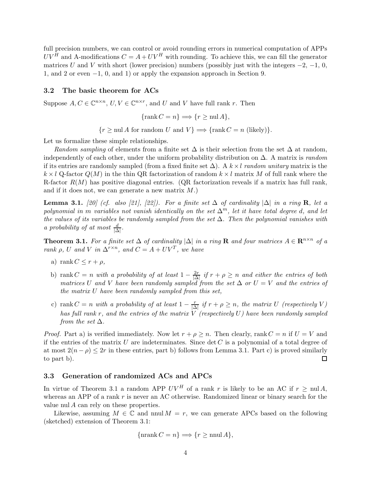full precision numbers, we can control or avoid rounding errors in numerical computation of APPs  $UV^H$  and A-modifications  $C = A + UV^H$  with rounding. To achieve this, we can fill the generator matrices U and V with short (lower precision) numbers (possibly just with the integers  $-2$ ,  $-1$ , 0, 1, and 2 or even −1, 0, and 1) or apply the expansion approach in Section 9.

#### **3.2 The basic theorem for ACs**

Suppose  $A, C \in \mathbb{C}^{n \times n}$ ,  $U, V \in \mathbb{C}^{n \times r}$ , and U and V have full rank r. Then

$$
\{\operatorname{rank} C = n\} \Longrightarrow \{r \ge \operatorname{null} A\},\
$$

 ${r \geq \text{null } A \text{ for random } U \text{ and } V} \Longrightarrow \{\text{rank } C = n \text{ (likely)}\}.$ 

Let us formalize these simple relationships.

*Random sampling* of elements from a finite set  $\Delta$  is their selection from the set  $\Delta$  at random, independently of each other, under the uniform probability distribution on ∆. A matrix is *random* if its entries are randomly sampled (from a fixed finite set ∆). A k ×l *random unitary* matrix is the  $k \times l$  Q-factor  $Q(M)$  in the thin QR factorization of random  $k \times l$  matrix M of full rank where the R-factor  $R(M)$  has positive diagonal entries. (QR factorization reveals if a matrix has full rank, and if it does not, we can generate a new matrix  $M$ .)

**Lemma 3.1.**  $[20]$  (cf. also [21], [22]). For a finite set  $\Delta$  of cardinality  $|\Delta|$  in a ring **R**, let a *polynomial in* m *variables not vanish identically on the set*  $\Delta^m$ *, let it have total degree d, and let the values of its variables be randomly sampled from the set* ∆*. Then the polynomial vanishes with a probability of at most*  $\frac{d}{|\Delta|}$ .

**Theorem 3.1.** *For a finite set*  $\Delta$  *of cardinality*  $|\Delta|$  *in a ring* **R** *and four matrices*  $A \in \mathbb{R}^{n \times n}$  *of a rank*  $\rho$ , U and V *in*  $\Delta^{r \times n}$ *, and*  $C = A + UV^T$ *, we have* 

- a) rank  $C \leq r + \rho$ ,
- b) rank  $C = n$  *with a probability of at least*  $1 \frac{2r}{|\Delta|}$  *if*  $r + \rho \geq n$  *and either the entries of both matrices* U and V have been randomly sampled from the set  $\Delta$  *or*  $U = V$  *and the entries of the matrix* U *have been randomly sampled from this set,*
- c) rank  $C = n$  *with a probability of at least*  $1 \frac{r}{|\Delta|}$  *if*  $r + \rho \geq n$ *, the matrix* U *(respectively* V) *has full rank* r*, and the entries of the matrix* V *(respectively* U*) have been randomly sampled from the set* ∆*.*

*Proof.* Part a) is verified immediately. Now let  $r + \rho \geq n$ . Then clearly, rank  $C = n$  if  $U = V$  and if the entries of the matrix U are indeterminates. Since  $\det C$  is a polynomial of a total degree of at most  $2(n - \rho) \leq 2r$  in these entries, part b) follows from Lemma 3.1. Part c) is proved similarly to part b).  $\Box$ 

#### **3.3 Generation of randomized ACs and APCs**

In virtue of Theorem 3.1 a random APP  $UV^H$  of a rank r is likely to be an AC if  $r \geq \text{null } A$ , whereas an APP of a rank  $r$  is never an AC otherwise. Randomized linear or binary search for the value nul A can rely on these properties.

Likewise, assuming  $M \in \mathbb{C}$  and nnul  $M = r$ , we can generate APCs based on the following (sketched) extension of Theorem 3.1:

$$
\{\operatorname{nrank} C = n\} \Longrightarrow \{r \ge \operatorname{nnul} A\},\
$$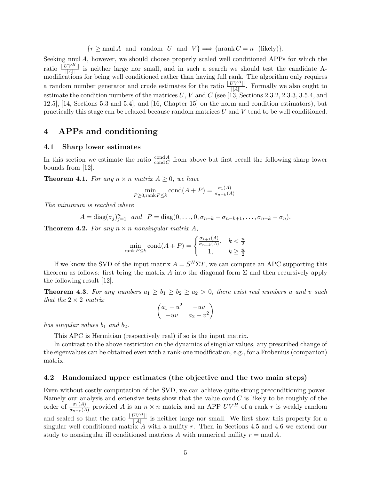$\{r \ge \text{nnul } A \text{ and random } U \text{ and } V\} \Longrightarrow \{\text{nrank } C = n \text{ (likely)}\}.$ 

Seeking nnul A, however, we should choose properly scaled well conditioned APPs for which the ratio  $\frac{\Vert UV^H \Vert}{\Vert A \Vert}$  is neither large nor small, and in such a search we should test the candidate Amodifications for being well conditioned rather than having full rank. The algorithm only requires a random number generator and crude estimates for the ratio  $\frac{||UV^H||}{||A||}$ . Formally we also ought to estimate the condition numbers of the matrices  $U, V$  and  $C$  (see [13, Sections 2.3.2, 2.3.3, 3.5.4, and 12.5], [14, Sections 5.3 and 5.4], and [16, Chapter 15] on the norm and condition estimators), but practically this stage can be relaxed because random matrices  $U$  and  $V$  tend to be well conditioned.

## **4 APPs and conditioning**

#### **4.1 Sharp lower estimates**

In this section we estimate the ratio  $\frac{\text{cond} A}{\text{cond} C}$  from above but first recall the following sharp lower bounds from [12].

**Theorem 4.1.** For any  $n \times n$  matrix  $A \geq 0$ , we have

$$
\min_{P \ge 0, \text{rank } P \le k} \text{cond}(A + P) = \frac{\sigma_1(A)}{\sigma_{n-k}(A)}.
$$

*The minimum is reached where*

 $A = \text{diag}(\sigma_j)_{j=1}^n$  and  $P = \text{diag}(0,\ldots,0,\sigma_{n-k} - \sigma_{n-k+1},\ldots,\sigma_{n-k} - \sigma_n).$ 

**Theorem 4.2.** For any  $n \times n$  nonsingular matrix A,

$$
\min_{\text{rank } P \le k} \text{cond}(A + P) = \begin{cases} \frac{\sigma_{k+1}(A)}{\sigma_{n-k}(A)}, & k < \frac{n}{2} \\ 1, & k \ge \frac{n}{2} \end{cases}
$$

If we know the SVD of the input matrix  $A = S^H \Sigma T$ , we can compute an APC supporting this theorem as follows: first bring the matrix A into the diagonal form  $\Sigma$  and then recursively apply the following result [12].

**Theorem 4.3.** For any numbers  $a_1 \geq b_1 \geq b_2 \geq a_2 > 0$ , there exist real numbers u and v such *that the* 2 × 2 *matrix*

$$
\begin{pmatrix} a_1 - u^2 & -uv \ -uv & a_2 - v^2 \end{pmatrix}
$$

*has singular values*  $b_1$  *and*  $b_2$ *.* 

This APC is Hermitian (respectively real) if so is the input matrix.

In contrast to the above restriction on the dynamics of singular values, any prescribed change of the eigenvalues can be obtained even with a rank-one modification, e.g., for a Frobenius (companion) matrix.

#### **4.2 Randomized upper estimates (the objective and the two main steps)**

Even without costly computation of the SVD, we can achieve quite strong preconditioning power. Namely our analysis and extensive tests show that the value cond  $C$  is likely to be roughly of the order of  $\frac{\sigma_1(A)}{\sigma_{n-r}(A)}$  provided A is an  $n \times n$  matrix and an APP  $UV^H$  of a rank r is weakly random and scaled so that the ratio  $\frac{||UV^H||}{||A||}$  is neither large nor small. We first show this property for a singular well conditioned matrix A with a nullity r. Then in Sections 4.5 and 4.6 we extend our study to nonsingular ill conditioned matrices A with numerical nullity  $r = \text{n n}$ .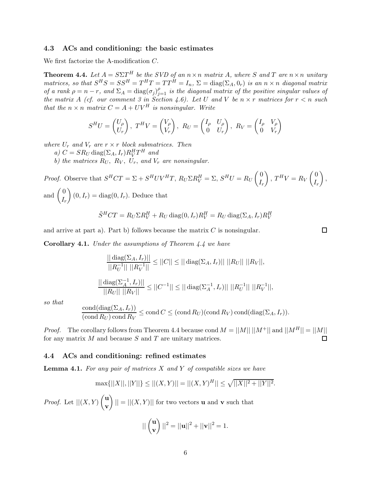#### **4.3 ACs and conditioning: the basic estimates**

We first factorize the A-modification C.

**Theorem 4.4.** Let  $A = S\Sigma T^H$  be the SVD of an  $n \times n$  matrix A, where S and T are  $n \times n$  unitary *matrices, so that*  $S^H S = SS^H = T^HT = TT^{\tilde{H}} = I_n$ ,  $\Sigma = diag(\Sigma_A, 0_r)$  *is an*  $n \times n$  *diagonal matrix of a rank*  $\rho = n - r$ *, and*  $\Sigma_A = \text{diag}(\sigma_j)_{j=1}^{\rho}$  *is the diagonal matrix of the positive singular values of the matrix* A *(cf. our comment 3 in Section 4.6).* Let U and V be  $n \times r$  matrices for  $r < n$  such *that the*  $n \times n$  *matrix*  $C = A + UV^H$  *is nonsingular. Write* 

$$
S^{H}U = \begin{pmatrix} U_{\rho} \\ U_{r} \end{pmatrix}, T^{H}V = \begin{pmatrix} V_{\rho} \\ V_{r} \end{pmatrix}, R_{U} = \begin{pmatrix} I_{\rho} & U_{\rho} \\ 0 & U_{r} \end{pmatrix}, R_{V} = \begin{pmatrix} I_{\rho} & V_{\rho} \\ 0 & V_{r} \end{pmatrix}
$$

*where*  $U_r$  *and*  $V_r$  *are*  $r \times r$  *block submatrices. Then* 

- *a*)  $C = SR_U \text{diag}(\Sigma_A, I_r) R_V^H T^H$  *and*
- *b)* the matrices  $R_U$ ,  $R_V$ ,  $U_r$ , and  $V_r$  are nonsingular.

*Proof.* Observe that 
$$
S^HCT = \Sigma + S^HUV^HT
$$
,  $R_U \Sigma R_V^H = \Sigma$ ,  $S^HU = R_U \begin{pmatrix} 0 \\ I_r \end{pmatrix}$ ,  $T^HV = R_V \begin{pmatrix} 0 \\ I_r \end{pmatrix}$ , and  $\begin{pmatrix} 0 \\ I_r \end{pmatrix}$   $(0, I_r) = \text{diag}(0, I_r)$ . Deduce that

$$
\tilde{S}^{H}CT = R_{U}\Sigma R_{V}^{H} + R_{U}\operatorname{diag}(0, I_{r})R_{V}^{H} = R_{U}\operatorname{diag}(\Sigma_{A}, I_{r})R_{V}^{H}
$$

and arrive at part a). Part b) follows because the matrix  $C$  is nonsingular.

**Corollary 4.1.** *Under the assumptions of Theorem 4.4 we have*

$$
\frac{|| \operatorname{diag}(\Sigma_A, I_r) ||}{||R_U^{-1}|| ||R_V^{-1}||} \le ||C|| \le || \operatorname{diag}(\Sigma_A, I_r) || ||R_U|| ||R_V||,
$$
  

$$
\frac{|| \operatorname{diag}(\Sigma_A^{-1}, I_r) ||}{||R_U|| ||R_V||} \le ||C^{-1}|| \le || \operatorname{diag}(\Sigma_A^{-1}, I_r) || ||R_U^{-1}|| ||R_V^{-1}||,
$$

*so that*

$$
\frac{\text{cond}(\text{diag}(\Sigma_A, I_r))}{(\text{cond }R_U)\text{ cond }R_V} \le \text{cond } C \le (\text{cond }R_U)(\text{cond }R_V)\text{ cond}(\text{diag}(\Sigma_A, I_r)).
$$

*Proof.* The corollary follows from Theorem 4.4 because cond  $M = ||M|| ||M^+||$  and  $||M^H|| = ||M||$ for any matrix  $M$  and because  $S$  and  $T$  are unitary matrices.  $\Box$ 

#### **4.4 ACs and conditioning: refined estimates**

**Lemma 4.1.** *For any pair of matrices* X *and* Y *of compatible sizes we have*

$$
\max\{||X||, ||Y||\} \le ||(X,Y)|| = ||(X,Y)^H|| \le \sqrt{||X||^2 + ||Y||^2}.
$$

*Proof.* Let  $||(X, Y)||_{\infty}^{\mathbf{u}}$ **v**  $|| = ||(X, Y)||$  for two vectors **u** and **v** such that

$$
||\begin{pmatrix} \mathbf{u} \\ \mathbf{v} \end{pmatrix}||^2 = ||\mathbf{u}||^2 + ||\mathbf{v}||^2 = 1.
$$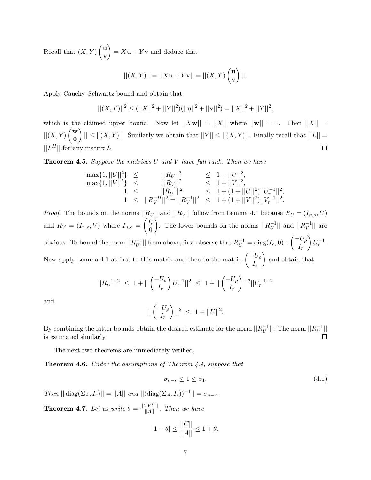Recall that  $(X, Y) \begin{pmatrix} u \\ v \end{pmatrix}$ **v**  $= X\mathbf{u} + Y\mathbf{v}$  and deduce that

$$
||(X,Y)|| = ||X\mathbf{u} + Y\mathbf{v}|| = ||(X,Y) \begin{pmatrix} \mathbf{u} \\ \mathbf{v} \end{pmatrix}||.
$$

Apply Cauchy–Schwartz bound and obtain that

$$
||(X,Y)||^2 \le (||X||^2 + ||Y||^2)(||\mathbf{u}||^2 + ||\mathbf{v}||^2) = ||X||^2 + ||Y||^2,
$$

which is the claimed upper bound. Now let  $||Xw|| = ||X||$  where  $||w|| = 1$ . Then  $||X|| =$  $||(X,Y)$  $\begin{pmatrix} \mathbf{w} \\ \mathbf{0} \end{pmatrix}$  $||| \leq ||(X,Y)||$ . Similarly we obtain that  $||Y|| \leq ||(X,Y)||$ . Finally recall that  $||L|| =$ **0**  $||L<sup>H</sup>||$  for any matrix L.  $\Box$ 

**Theorem 4.5.** *Suppose the matrices* U *and* V *have full rank. Then we have*

$$
\begin{array}{rcl} \max\{1,||U||^2\}&\leq&||R_U||^2&\leq&1+||U||^2,\\ \max\{1,||V||^2\}&\leq&||R_V||^2&\leq&1+||V||^2,\\ 1&\leq&||R_V^{-1}||^2&\leq&1+(1+||U||^2)||U_r^{-1}||^2,\\ 1&\leq&||R_V^{-H}||^2=||R_V^{-1}||^2&\leq&1+(1+||V||^2)||V_r^{-1}||^2.\end{array}
$$

*Proof.* The bounds on the norms  $||R_U||$  and  $||R_V||$  follow from Lemma 4.1 because  $R_U = (I_{n,\rho}, U)$ and  $R_V = (I_{n,\rho}, V)$  where  $I_{n,\rho} = \begin{pmatrix} I_{\rho} \\ 0 \end{pmatrix}$ 0 ). The lower bounds on the norms  $||R_U^{-1}||$  and  $||R_V^{-1}||$  are obvious. To bound the norm  $||R_U^{-1}||$  from above, first observe that  $R_U^{-1} = \text{diag}(I_\rho, 0) + \begin{pmatrix} -U_\rho \\ I \end{pmatrix}$  $I_r$  $\Big) U_r^{-1}.$ Now apply Lemma 4.1 at first to this matrix and then to the matrix  $\begin{pmatrix} -U_{\rho} \\ I \end{pmatrix}$  $I_r$ and obtain that

$$
||R_U^{-1}||^2 \le 1 + ||\begin{pmatrix} -U_\rho \\ I_r \end{pmatrix} U_r^{-1}||^2 \le 1 + ||\begin{pmatrix} -U_\rho \\ I_r \end{pmatrix}||^2||U_r^{-1}||^2
$$

and

$$
||\begin{pmatrix} -U_{\rho} \\ I_r \end{pmatrix}||^2 \leq 1 + ||U||^2.
$$

By combining the latter bounds obtain the desired estimate for the norm  $||R_U^{-1}||$ . The norm  $||R_V^{-1}||$ is estimated similarly.  $\Box$ 

The next two theorems are immediately verified,

**Theorem 4.6.** *Under the assumptions of Theorem 4.4, suppose that*

$$
\sigma_{n-r} \le 1 \le \sigma_1. \tag{4.1}
$$

 $Then || diag(\Sigma_A, I_r)|| = ||A|| and || (diag(\Sigma_A, I_r))^{-1}|| = \sigma_{n-r}.$ 

**Theorem 4.7.** *Let us write*  $\theta = \frac{||UV^H||}{||A||}$ *. Then we have* 

$$
|1 - \theta| \le \frac{||C||}{||A||} \le 1 + \theta.
$$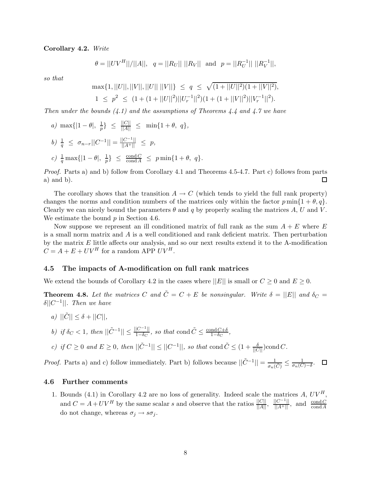**Corollary 4.2.** *Write*

$$
\theta = ||UV^H||/||A||, \quad q = ||R_U|| \ ||R_V|| \text{ and } p = ||R_U^{-1}|| \ ||R_V^{-1}||,
$$

*so that*

$$
\max\{1, ||U||, ||V||, ||U|| \, ||V||\} \le q \le \sqrt{(1+||U||^2)(1+||V||^2)},
$$
  

$$
1 \le p^2 \le (1+(1+||U||^2)||U_r^{-1}||^2)(1+(1+||V||^2)||V_r^{-1}||^2).
$$

*Then under the bounds (4.1) and the assumptions of Theorems 4.4 and 4.7 we have*

*a*)  $\max\{|1-\theta|, \frac{1}{p}\} \leq \frac{||C||}{||A||} \leq \min\{1+\theta, q\},\$  $b) \frac{1}{q} \leq \sigma_{n-r} ||C^{-1}|| = \frac{||C^{-1}||}{||A^+||} \leq p,$ *c*)  $\frac{1}{q} \max\{|1 - \theta|, \frac{1}{p}\} \le \frac{\text{cond } C}{\text{cond } A} \le p \min\{1 + \theta, q\}.$ 

*Proof.* Parts a) and b) follow from Corollary 4.1 and Theorems 4.5-4.7. Part c) follows from parts a) and b).  $\Box$ 

The corollary shows that the transition  $A \to C$  (which tends to yield the full rank property) changes the norms and condition numbers of the matrices only within the factor  $p \min\{1 + \theta, q\}$ . Clearly we can nicely bound the parameters  $\theta$  and q by properly scaling the matrices A, U and V. We estimate the bound  $p$  in Section 4.6.

Now suppose we represent an ill conditioned matrix of full rank as the sum  $A + E$  where E is a small norm matrix and  $\tilde{A}$  is a well conditioned and rank deficient matrix. Then perturbation by the matrix E little affects our analysis, and so our next results extend it to the A-modification  $C = A + E + UV^H$  for a random APP  $UV^H$ .

#### **4.5 The impacts of A-modification on full rank matrices**

We extend the bounds of Corollary 4.2 in the cases where  $||E||$  is small or  $C \geq 0$  and  $E \geq 0$ .

**Theorem 4.8.** Let the matrices C and  $\tilde{C} = C + E$  be nonsingular. Write  $\delta = ||E||$  and  $\delta_C =$ δ||C−1||*. Then we have*

*a*)  $||\tilde{C}|| \leq \delta + ||C||$ ,

*b)* if  $\delta_C < 1$ , then  $||\tilde{C}^{-1}|| \le \frac{||C^{-1}||}{1-\delta_C}$ , so that cond  $\tilde{C} \le \frac{\text{cond}(C+\delta)}{1-\delta_C}$ ,

*c)* if  $C \geq 0$  and  $E \geq 0$ , then  $||\tilde{C}^{-1}|| \leq ||C^{-1}||$ , so that cond  $\tilde{C} \leq (1 + \frac{\delta}{||C||})$ cond  $C$ .

*Proof.* Parts a) and c) follow immediately. Part b) follows because  $||\tilde{C}^{-1}|| = \frac{1}{\sigma_n(\tilde{C})} \leq \frac{1}{\sigma_n(C) - \delta}$ .

#### **4.6 Further comments**

1. Bounds (4.1) in Corollary 4.2 are no loss of generality. Indeed scale the matrices A,  $UV^H$ . and  $C = A + UV^H$  by the same scalar s and observe that the ratios  $\frac{||C||}{||A||}$ ,  $\frac{||C^{-1}||}{||A^+||}$ , and  $\frac{\text{cond } C}{\text{cond } A}$ do not change, whereas  $\sigma_j \to s\sigma_j$ .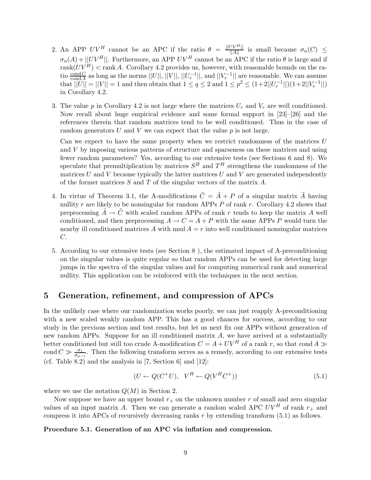- 2. An APP  $UV^H$  cannot be an APC if the ratio  $\theta = \frac{||UV^H||}{||A||}$  is small because  $\sigma_n(C) \leq$  $\sigma_n(A) + ||UV^H||$ . Furthermore, an APP  $UV^H$  cannot be an APC if the ratio  $\theta$  is large and if  $rank(UV^H) < rank A$ . Corollary 4.2 provides us, however, with reasonable bounds on the ratio  $\frac{\text{cond }C}{\text{cond }A}$  as long as the norms  $||U||, ||V||, ||U_r^{-1}||$ , and  $||V_r^{-1}||$  are reasonable. We can assume that  $||U|| = ||V|| = 1$  and then obtain that  $1 \le q \le 2$  and  $1 \le p^2 \le (1+2||U_r^{-1}||)(1+2||V_r^{-1}||)$ in Corollary 4.2.
- 3. The value p in Corollary 4.2 is not large where the matrices  $U_r$  and  $V_r$  are well conditioned. Now recall about huge empirical evidence and some formal support in [23]–[26] and the references therein that random matrices tend to be well conditioned. Thus in the case of random generators U and V we can expect that the value  $p$  is not large.

Can we expect to have the same property when we restrict randomness of the matrices  $U$ and V by imposing various patterns of structure and sparseness on these matrices and using fewer random parameters? Yes, according to our extensive tests (see Sections 6 and 8). We speculate that premultiplication by matrices  $S<sup>H</sup>$  and  $T<sup>H</sup>$  strengthens the randomness of the matrices  $U$  and  $V$  because typically the latter matrices  $U$  and  $V$  are generated independently of the former matrices  $S$  and  $T$  of the singular vectors of the matrix  $A$ .

- 4. In virtue of Theorem 3.1, the A-modifications  $\tilde{C} = \tilde{A} + P$  of a singular matrix  $\tilde{A}$  having nullity r are likely to be nonsingular for random APPs  $P$  of rank r. Corollary 4.2 shows that preprocessing  $A \rightarrow C$  with scaled random APPs of rank r tends to keep the matrix A well conditioned, and then preprocessing  $A \rightarrow C = A + P$  with the same APPs P would turn the nearby ill conditioned matrices A with nnul  $A = r$  into well conditioned nonsingular matrices C.
- 5. According to our extensive tests (see Section 8 ), the estimated impact of A-preconditioning on the singular values is quite regular so that random APPs can be used for detecting large jumps in the spectra of the singular values and for computing numerical rank and numerical nullity. This application can be reinforced with the techniques in the next section.

## **5 Generation, refinement, and compression of APCs**

In the unlikely case where our randomization works poorly, we can just reapply A-preconditioning with a new scaled weakly random APP. This has a good chances for success, according to our study in the previous section and test results, but let us next fix our APPs without generation of new random APPs. Suppose for an ill conditioned matrix A, we have arrived at a substantially better conditioned but still too crude A-modification  $C = A + UV^H$  of a rank r, so that cond  $A \gg$ cond  $C \gg \frac{\sigma_1}{\sigma_{\rho-r}}$ . Then the following transform serves as a remedy, according to our extensive tests (cf. Table  $8.2$ ) and the analysis in [7, Section 6] and [12]:

$$
(U \leftarrow Q(C^+U), \quad V^H \leftarrow Q(V^HC^+))\tag{5.1}
$$

where we use the notation  $Q(M)$  in Section 2.

Now suppose we have an upper bound  $r_{+}$  on the unknown number r of small and zero singular values of an input matrix A. Then we can generate a random scaled APC  $UV^H$  of rank  $r_{+}$  and compress it into APCs of recursively decreasing ranks  $r$  by extending transform  $(5.1)$  as follows.

#### **Procedure 5.1. Generation of an APC via inflation and compression.**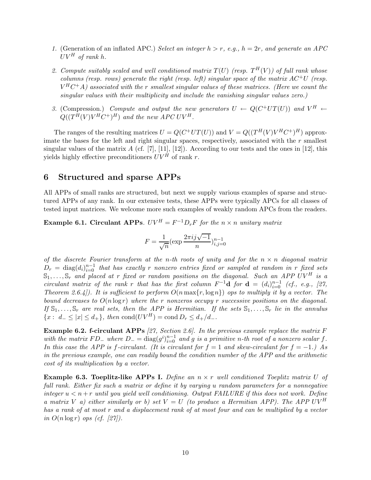- *1.* (Generation of an inflated APC.) *Select an integer* h>r*, e.g.,* h = 2r*, and generate an APC*  $UV^H$  of rank h.
- 2. Compute suitably scaled and well conditioned matrix  $T(U)$  (resp.  $T^H(V)$ ) of full rank whose *columns (resp. rows) generate the right (resp. left) singular space of the matrix*  $AC^+U$  *(resp.*  $V^H C^+ A$ *)* associated with the r smallest singular values of these matrices. (Here we count the *singular values with their multiplicity and include the vanishing singular values zero.)*
- 3. (Compression.) *Compute and output the new generators*  $U \leftarrow Q(C^+UT(U))$  and  $V^H \leftarrow$  $Q((T^{\tilde{H}}(V)V^H C^+)^H)$  *and the new APC UV<sup>H</sup>.*

The ranges of the resulting matrices  $U = Q(C^+UT(U))$  and  $V = Q((T^H(V)V^HC^+)^H)$  approximate the bases for the left and right singular spaces, respectively, associated with the  $r$  smallest singular values of the matrix A (cf. [7], [11], [12]). According to our tests and the ones in [12], this yields highly effective preconditioners  $UV^H$  of rank r.

### **6 Structured and sparse APPs**

All APPs of small ranks are structured, but next we supply various examples of sparse and structured APPs of any rank. In our extensive tests, these APPs were typically APCs for all classes of tested input matrices. We welcome more such examples of weakly random APCs from the readers.

**Example 6.1. Circulant APPs***.*  $UV^H = F^{-1}D_rF$  for the  $n \times n$  *unitary matrix* 

$$
F = \frac{1}{\sqrt{n}} (\exp \frac{2\pi i j \sqrt{-1}}{n})_{i,j=0}^{n-1}
$$

*of the discrete Fourier transform at the* n*-th roots of unity and for the* n × n *diagonal matrix*  $D_r = \text{diag}(d_i)_{i=0}^{n-1}$  that has exactly r nonzero entries fixed or sampled at random in r fixed sets  $\mathbb{S}_1,\ldots,\mathbb{S}_r$  and placed at r fixed or random positions on the diagonal. Such an APP UV<sup>H</sup> is a *circulant matrix of the rank r that has the first column*  $F^{-1}$ **d** *for* **d** =  $(d_i)_{i=0}^{n-1}$  *(cf., e.g., [27, Theorem 2.6.4]). It is sufficient to perform* O(n max{r, logn}) *ops to multiply it by a vector. The bound decreases to* O(n log r) *where the* r *nonzeros occupy* r *successive positions on the diagonal.* If  $\mathbb{S}_1,\ldots,\mathbb{S}_r$  are real sets, then the APP is Hermitian. If the sets  $\mathbb{S}_1,\ldots,\mathbb{S}_r$  lie in the annulus  ${x : d_-\leq |x|\leq d_+}, \text{ then } \text{cond}(UV^H) = \text{cond } D_r \leq d_+/d_-.$ 

**Example 6.2. f-circulant APPs** *[27, Section 2.6]. In the previous example replace the matrix* F  $with$  the matrix  $FD_$  where  $D_$  =  $diag(g^i)_{i=0}^{n-1}$  and g is a primitive n-th root of a nonzero scalar f. *In this case the APP is* f-circulant. (It is circulant for  $f = 1$  and skew-circulant for  $f = -1$ *.)* As *in the previous example, one can readily bound the condition number of the APP and the arithmetic cost of its multiplication by a vector.*

**Example 6.3. Toeplitz-like APPs I.** *Define an* n × r *well conditioned Toeplitz matrix* U *of full rank. Either fix such a matrix or define it by varying* u *random parameters for a nonnegative integer*  $u < n + r$  *until you yield well conditioning. Output FAILURE if this does not work. Define a matrix* V *a)* either similarly or b) set  $V = U$  (to produce a Hermitian APP). The APP UV<sup>H</sup> *has a rank of at most* r *and a displacement rank of at most four and can be multiplied by a vector in*  $O(n \log r)$  *ops (cf. [27]).*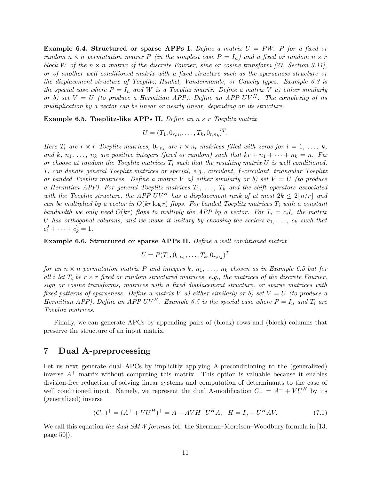**Example 6.4. Structured or sparse APPs I.** *Define a matrix* U = PW, P *for a fixed or random*  $n \times n$  *permutation matrix* P *(in the simplest case*  $P = I_n$ *) and a fixed or random*  $n \times r$ block W of the  $n \times n$  matrix of the discrete Fourier, sine or cosine transform [27, Section 3.11], *or of another well conditioned matrix with a fixed structure such as the sparseness structure or the displacement structure of Toeplitz, Hankel, Vandermonde, or Cauchy types. Example 6.3 is the special case where*  $P = I_n$  *and* W *is a Toeplitz matrix. Define a matrix* V *a) either similarly or b) set*  $V = U$  *(to produce a Hermitian APP). Define an APP UV<sup>H</sup>. The complexity of its multiplication by a vector can be linear or nearly linear, depending on its structure.*

**Example 6.5. Toeplitz-like APPs II.** *Define an* n × r *Toeplitz matrix*

$$
U = (T_1, 0_{r,n_1}, \ldots, T_k, 0_{r,n_k})^T.
$$

*Here*  $T_i$  are  $r \times r$  *Toeplitz matrices,*  $0_{r,n_i}$  are  $r \times n_i$  *matrices filled with zeros for*  $i = 1, \ldots, k$ *,* and k,  $n_1, \ldots, n_k$  are positive integers (fixed or random) such that  $kr + n_1 + \cdots + n_k = n$ . Fix *or choose at random the Toeplitz matrices*  $T_i$  *such that the resulting matrix*  $U$  *is well conditioned.* Ti *can denote general Toeplitz matrices or special, e.g., circulant,* f*-circulant, triangular Toeplitz or banded Toeplitz matrices. Define a matrix* V *a) either similarly or b) set* V = U *(to produce a Hermitian APP). For general Toeplitz matrices*  $T_1, \ldots, T_k$  and the shift operators associated with the Toeplitz structure, the APP UV<sup>H</sup> has a displacement rank of at most  $2k \leq 2\vert n/r \vert$  and *can be multiplied by a vector in*  $O(kr \log r)$  *flops. For banded Toeplitz matrices*  $T_i$  *with a constant bandwidth we only need*  $O(kr)$  *flops to multiply the APP by a vector. For*  $T_i = c_i I_r$  *the matrix* U has orthogonal columns, and we make it unitary by choosing the scalars  $c_1, \ldots, c_k$  such that  $c_1^2 + \cdots + c_k^2 = 1.$ 

**Example 6.6. Structured or sparse APPs II.** *Define a well conditioned matrix*

$$
U = P(T_1, 0_{r,n_1}, \ldots, T_k, 0_{r,n_k})^T
$$

*for an*  $n \times n$  *permutation matrix* P *and integers* k,  $n_1, \ldots, n_k$  *chosen as in Example 6.5 but for all* i *let*  $T_i$  *be*  $r \times r$  *fixed or random structured matrices, e.g., the matrices of the discrete Fourier, sign or cosine transforms, matrices with a fixed displacement structure, or sparse matrices with fixed patterns of sparseness. Define a matrix* V *a) either similarly or b) set* V = U *(to produce a Hermitian APP). Define an APP UV<sup>H</sup>. Example 6.5 is the special case where*  $P = I_n$  *and*  $T_i$  *are Toeplitz matrices.*

Finally, we can generate APCs by appending pairs of (block) rows and (block) columns that preserve the structure of an input matrix.

## **7 Dual A-preprocessing**

Let us next generate dual APCs by implicitly applying A-preconditioning to the (generalized) inverse  $A^+$  matrix without computing this matrix. This option is valuable because it enables division-free reduction of solving linear systems and computation of determinants to the case of well conditioned input. Namely, we represent the dual A-modification  $C_ = A^+ + V U^H$  by its (generalized) inverse

$$
(C_{-})^{+} = (A^{+} + VU^{H})^{+} = A - AVH^{+}U^{H}A, \quad H = I_{q} + U^{H}AV.
$$
\n(7.1)

We call this equation *the dual SMW formula* (cf. the Sherman–Morrison–Woodbury formula in [13, page 50]).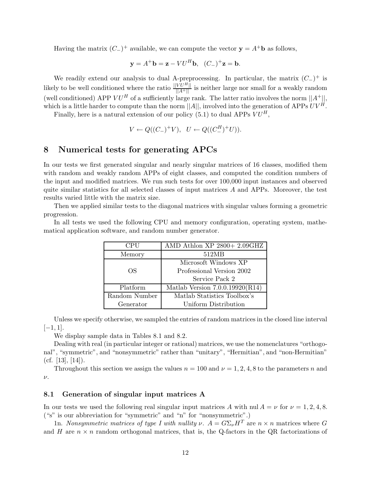Having the matrix  $(C_{-})^{+}$  available, we can compute the vector  $\mathbf{y} = A^{+}\mathbf{b}$  as follows,

$$
\mathbf{y} = A^+ \mathbf{b} = \mathbf{z} - V U^H \mathbf{b}, \quad (C_-)^+ \mathbf{z} = \mathbf{b}.
$$

We readily extend our analysis to dual A-preprocessing. In particular, the matrix  $(C_{-})^{+}$  is likely to be well conditioned where the ratio  $\frac{||V U^H||}{||A^+||}$  is neither large nor small for a weakly random (well conditioned) APP  $V U^H$  of a sufficiently large rank. The latter ratio involves the norm  $||A^+||$ , which is a little harder to compute than the norm  $||A||$ , involved into the generation of APPs  $UV^H$ .

Finally, here is a natural extension of our policy (5.1) to dual APPs  $VU^H$ ,

$$
V \leftarrow Q((C_{-})^{+}V), \ \ U \leftarrow Q((C_{-}^{H})^{+}U)).
$$

## **8 Numerical tests for generating APCs**

In our tests we first generated singular and nearly singular matrices of 16 classes, modified them with random and weakly random APPs of eight classes, and computed the condition numbers of the input and modified matrices. We run such tests for over 100,000 input instances and observed quite similar statistics for all selected classes of input matrices  $A$  and APPs. Moreover, the test results varied little with the matrix size.

Then we applied similar tests to the diagonal matrices with singular values forming a geometric progression.

In all tests we used the following CPU and memory configuration, operating system, mathematical application software, and random number generator.

| <b>CPU</b>    | AMD Athlon XP 2800+ 2.09GHZ       |
|---------------|-----------------------------------|
| Memory        | 512MB                             |
|               | Microsoft Windows XP              |
| OS            | Professional Version 2002         |
|               | Service Pack 2                    |
| Platform      | Matlab Version $7.0.0.19920(R14)$ |
| Random Number | Matlab Statistics Toolbox's       |
| Generator     | Uniform Distribution              |

Unless we specify otherwise, we sampled the entries of random matrices in the closed line interval  $[-1, 1].$ 

We display sample data in Tables 8.1 and 8.2.

Dealing with real (in particular integer or rational) matrices, we use the nomenclatures "orthogonal", "symmetric", and "nonsymmetric" rather than "unitary", "Hermitian", and "non-Hermitian" (cf.  $[13]$ ,  $[14]$ ).

Throughout this section we assign the values  $n = 100$  and  $\nu = 1, 2, 4, 8$  to the parameters n and  $\nu.$ 

#### **8.1 Generation of singular input matrices A**

In our tests we used the following real singular input matrices A with nul  $A = \nu$  for  $\nu = 1, 2, 4, 8$ . ("s" is our abbreviation for "symmetric" and "n" for "nonsymmetric".)

1n. *Nonsymmetric matrices of type I with nullity*  $\nu$ .  $A = G \Sigma_{\nu} H^{T}$  are  $n \times n$  matrices where G and H are  $n \times n$  random orthogonal matrices, that is, the Q-factors in the QR factorizations of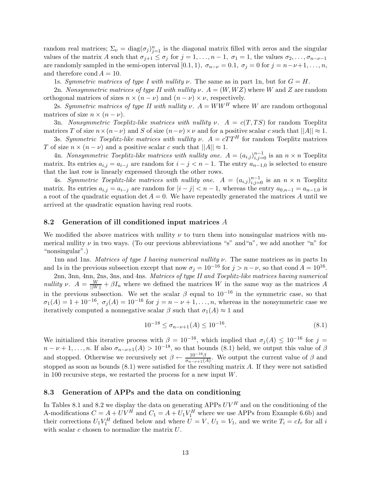random real matrices;  $\Sigma_{\nu} = \text{diag}(\sigma_j)_{j=1}^n$  is the diagonal matrix filled with zeros and the singular values of the matrix A such that  $\sigma_{j+1} \leq \sigma_j$  for  $j = 1, \ldots, n-1, \sigma_1 = 1$ , the values  $\sigma_2, \ldots, \sigma_{n-\nu-1}$ are randomly sampled in the semi-open interval [0.1, 1),  $\sigma_{n-\nu} = 0.1$ ,  $\sigma_j = 0$  for  $j = n-\nu+1, \ldots, n$ , and therefore cond  $A = 10$ .

1s. *Symmetric matrices of type I with nullity*  $\nu$ . The same as in part 1n, but for  $G = H$ .

2n. *Nonsymmetric matrices of type II with nullity*  $\nu$ .  $A = (W, WZ)$  where W and Z are random orthogonal matrices of sizes  $n \times (n - \nu)$  and  $(n - \nu) \times \nu$ , respectively.

2s. *Symmetric matrices of type II with nullity*  $\nu$ .  $A = WW^H$  where W are random orthogonal matrices of size  $n \times (n - \nu)$ .

3n. *Nonsymmetric Toeplitz-like matrices with nullity*  $\nu$ .  $A = c(T, TS)$  for random Toeplitz matrices T of size  $n \times (n-\nu)$  and S of size  $(n-\nu) \times \nu$  and for a positive scalar c such that  $||A|| \approx 1$ .

3s. *Symmetric Toeplitz-like matrices with nullity*  $\nu$ .  $A = cTT^H$  for random Toeplitz matrices T of size  $n \times (n - \nu)$  and a positive scalar c such that  $||A|| \approx 1$ .

4n. *Nonsymmetric Toeplitz-like matrices with nullity one.*  $A = (a_{i,j})_{i,j=0}^{n-1}$  is an  $n \times n$  Toeplitz matrix. Its entries  $a_{i,j} = a_{i-j}$  are random for  $i - j < n - 1$ . The entry  $a_{n-1,0}$  is selected to ensure that the last row is linearly expressed through the other rows.

4s. *Symmetric Toeplitz-like matrices with nullity one.*  $A = (a_{i,j})_{i,j=0}^{n-1}$  is an  $n \times n$  Toeplitz matrix. Its entries  $a_{i,j} = a_{i-j}$  are random for  $|i - j| < n - 1$ , whereas the entry  $a_{0,n-1} = a_{n-1,0}$  is a root of the quadratic equation det  $A = 0$ . We have repeatedly generated the matrices A until we arrived at the quadratic equation having real roots.

#### **8.2 Generation of ill conditioned input matrices** *A*

We modified the above matrices with nullity  $\nu$  to turn them into nonsingular matrices with numerical nullity  $\nu$  in two ways. (To our previous abbreviations "s" and "n", we add another "n" for "nonsingular".)

1nn and 1ns. *Matrices of type I having numerical nullity* ν*.* The same matrices as in parts 1n and 1s in the previous subsection except that now  $\sigma_j = 10^{-16}$  for  $j > n - \nu$ , so that cond  $A = 10^{16}$ .

2nn, 3nn, 4nn, 2ns, 3ns, and 4ns. *Matrices of type II and Toeplitz-like matrices having numerical nullity*  $\nu$ .  $A = \frac{W}{||W||} + \beta I_n$  where we defined the matrices W in the same way as the matrices A in the previous subsection. We set the scalar  $\beta$  equal to  $10^{-16}$  in the symmetric case, so that  $\sigma_1(A) = 1 + 10^{-16}$ ,  $\sigma_i(A) = 10^{-16}$  for  $j = n - \nu + 1, ..., n$ , whereas in the nonsymmetric case we iteratively computed a nonnegative scalar  $\beta$  such that  $\sigma_1(A) \approx 1$  and

$$
10^{-18} \le \sigma_{n-\nu+1}(A) \le 10^{-16}.\tag{8.1}
$$

We initialized this iterative process with  $\beta = 10^{-16}$ , which implied that  $\sigma_j(A) \leq 10^{-16}$  for  $j =$  $n-\nu+1,\ldots,n$ . If also  $\sigma_{n-\nu+1}(A) > 10^{-18}$ , so that bounds (8.1) held, we output this value of  $\beta$ and stopped. Otherwise we recursively set  $\beta \leftarrow \frac{10^{-16}\beta}{\sigma_{n-\nu+1}(A)}$ . We output the current value of  $\beta$  and stopped as soon as bounds (8.1) were satisfied for the resulting matrix A. If they were not satisfied in 100 recursive steps, we restarted the process for a new input W.

#### **8.3 Generation of APPs and the data on conditioning**

In Tables 8.1 and 8.2 we display the data on generating APPs  $UV^H$  and on the conditioning of the A-modifications  $C = A + U V^H$  and  $C_1 = A + U_1 V_1^H$  where we use APPs from Example 6.6b) and their corrections  $U_1 V_1^H$  defined below and where  $U = V$ ,  $U_1 = V_1$ , and we write  $T_i = cI_r$  for all i with scalar  $c$  chosen to normalize the matrix  $U$ .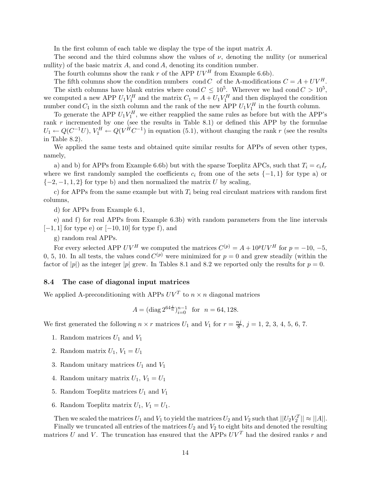In the first column of each table we display the type of the input matrix A.

The second and the third columns show the values of  $\nu$ , denoting the nullity (or numerical nullity) of the basic matrix  $A$ , and cond  $A$ , denoting its condition number.

The fourth columns show the rank r of the APP  $UV^H$  from Example 6.6b).

The fifth columns show the condition numbers cond C of the A-modifications  $C = A + UV^H$ . The sixth columns have blank entries where cond  $C \leq 10^5$ . Wherever we had cond  $C > 10^5$ , we computed a new APP  $U_1 V_1^H$  and the matrix  $C_1 = A + U_1 V_1^H$  and then displayed the condition number cond  $C_1$  in the sixth column and the rank of the new APP  $U_1V_1^H$  in the fourth column.

To generate the APP  $U_1 V_1^H$ , we either reapplied the same rules as before but with the APP's rank  $r$  incremented by one (see the results in Table 8.1) or defined this APP by the formulae  $U_1 \leftarrow Q(C^{-1}U), V_1^H \leftarrow Q(V^{\hat{H}}C^{-1})$  in equation (5.1), without changing the rank r (see the results in Table 8.2).

We applied the same tests and obtained quite similar results for APPs of seven other types, namely,

a) and b) for APPs from Example 6.6b) but with the sparse Toeplitz APCs, such that  $T_i = c_i I_r$ where we first randomly sampled the coefficients  $c_i$  from one of the sets  $\{-1,1\}$  for type a) or  $\{-2, -1, 1, 2\}$  for type b) and then normalized the matrix U by scaling,

c) for APPs from the same example but with  $T_i$  being real circulant matrices with random first columns,

d) for APPs from Example 6.1,

e) and f) for real APPs from Example 6.3b) with random parameters from the line intervals  $[-1, 1]$  for type e) or  $[-10, 10]$  for type f), and

g) random real APPs.

For every selected APP  $UV^H$  we computed the matrices  $C^{(p)} = A + 10^p UV^H$  for  $p = -10, -5$ , 0, 5, 10. In all tests, the values cond  $C^{(p)}$  were minimized for  $p = 0$  and grew steadily (within the factor of |p|) as the integer |p| grew. In Tables 8.1 and 8.2 we reported only the results for  $p = 0$ .

#### **8.4 The case of diagonal input matrices**

We applied A-preconditioning with APPs  $UV^T$  to  $n \times n$  diagonal matrices

$$
A = (\text{diag } 2^{64 \frac{i}{n}})_{i=0}^{n-1} \text{ for } n = 64, 128.
$$

We first generated the following  $n \times r$  matrices  $U_1$  and  $V_1$  for  $r = \frac{n j}{8}$ ,  $j = 1, 2, 3, 4, 5, 6, 7$ .

- 1. Random matrices  $U_1$  and  $V_1$
- 2. Random matrix  $U_1, V_1 = U_1$
- 3. Random unitary matrices  $U_1$  and  $V_1$
- 4. Random unitary matrix  $U_1$ ,  $V_1 = U_1$
- 5. Random Toeplitz matrices  $U_1$  and  $V_1$
- 6. Random Toeplitz matrix  $U_1, V_1 = U_1$ .

Then we scaled the matrices  $U_1$  and  $V_1$  to yield the matrices  $U_2$  and  $V_2$  such that  $||U_2V_2^T|| \approx ||A||$ . Finally we truncated all entries of the matrices  $U_2$  and  $V_2$  to eight bits and denoted the resulting matrices U and V. The truncation has ensured that the APPs  $UV<sup>T</sup>$  had the desired ranks r and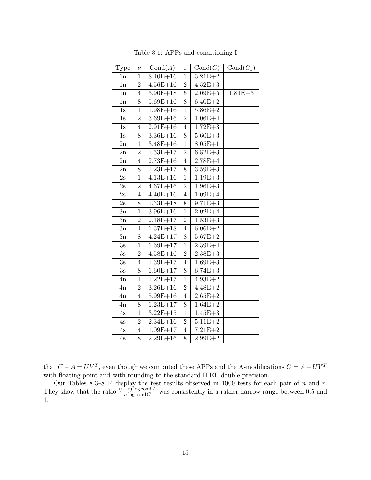| Type             | $\nu$          | Cond(A)               | r              | Cond(C)     | $Cond(C_1)$ |
|------------------|----------------|-----------------------|----------------|-------------|-------------|
| 1n               | 1              | $8.40E + 16$          | $\mathbf{1}$   | $3.21E + 2$ |             |
| 1n               | $\overline{2}$ | $4.56E + 16$          | $\overline{2}$ | $4.52E + 3$ |             |
| 1n               | 4              | $3.90E + 18$          | $\overline{5}$ | $2.09E + 5$ | $1.81E + 3$ |
| 1n               | 8              | $5.69E + 16$          | 8              | $6.40E + 2$ |             |
| 1s               | $\mathbf{1}$   | $1.98E + 16$          | $\overline{1}$ | $5.86E + 2$ |             |
| 1s               | $\overline{2}$ | $3.69E + 16$          | $\overline{2}$ | $1.06E + 4$ |             |
| 1s               | $\overline{4}$ | $2.91E + 16$          | $\overline{4}$ | $1.72E + 3$ |             |
| $1s$             | 8              | $3.36E + 16$          | 8              | $5.60E + 3$ |             |
| 2n               | $\mathbf{1}$   | $3.48E + 16$          | $\mathbf{1}$   | $8.05E + 1$ |             |
| 2n               | $\sqrt{2}$     | $1.53E + 17$          | $\overline{2}$ | $6.82E + 3$ |             |
| 2n               | $\overline{4}$ | $2.73E + 16$          | $\overline{4}$ | $2.78E + 4$ |             |
| 2n               | 8              | $1.23E + 17$          | 8              | $3.59E + 3$ |             |
| 2s               | $\mathbf{1}$   | $4.13E+16$            | $\mathbf{1}$   | $1.19E + 3$ |             |
| 2s               | $\overline{2}$ | $4.67E + 16$          | $\overline{2}$ | $1.96E + 3$ |             |
| 2s               | $\overline{4}$ | $\overline{4.40E+16}$ | $\overline{4}$ | $1.09E + 4$ |             |
| 2s               | 8              | $1.33E + 18$          | 8              | $9.71E + 3$ |             |
| $3\mathrm{n}$    | $\mathbf 1$    | $3.96E + 16$          | $\mathbf{1}$   | $2.02E + 4$ |             |
| 3n               | $\overline{2}$ | $2.18E + 17$          | $\overline{2}$ | $1.53E + 3$ |             |
| 3n               | $\overline{4}$ | $1.37E + 18$          | $\overline{4}$ | $6.06E + 2$ |             |
| 3n               | 8              | $4.24E + 17$          | 8              | $5.67E + 2$ |             |
| 3s               | 1              | $1.69E + 17$          | $\overline{1}$ | $2.39E + 4$ |             |
| 3s               | $\overline{2}$ | $\overline{4.58E+16}$ | $\overline{2}$ | $2.38E + 3$ |             |
| 3s               | $\overline{4}$ | $1.39E + 17$          | $\overline{4}$ | $1.69E + 3$ |             |
| $\overline{3} s$ | 8              | $1.60E + 17$          | 8              | $6.74E + 3$ |             |
| 4n               | $\mathbf 1$    | $1.22E + 17$          | $\overline{1}$ | $4.93E + 2$ |             |
| 4n               | $\overline{2}$ | $3.26E + 16$          | $\overline{2}$ | $4.48E + 2$ |             |
| 4n               | $\overline{4}$ | $5.99E + 16$          | $\overline{4}$ | $2.65E + 2$ |             |
| 4n               | 8              | $1.23E + 17$          | 8              | $1.64E + 2$ |             |
| 4s               | $\mathbf{1}$   | $3.22E + 15$          | $\mathbf{1}$   | $1.45E + 3$ |             |
| 4s               | $\sqrt{2}$     | $2.34E + 16$          | $\overline{2}$ | $5.11E + 2$ |             |
| 4s               | $\overline{4}$ | $1.09E + 17$          | $\overline{4}$ | $7.21E + 2$ |             |
| 4s               | 8              | $2.29E + 16$          | 8              | $2.99E + 2$ |             |

Table 8.1: APPs and conditioning I

that  $C - A = UV^T$ , even though we computed these APPs and the A-modifications  $C = A + UV^T$ with floating point and with rounding to the standard IEEE double precision.

Our Tables 8.3–8.14 display the test results observed in 1000 tests for each pair of  $n$  and  $r$ . They show that the ratio  $\frac{(n-r)\log \text{cond}A}{n \log \text{cond}C}$  was consistently in a rather narrow range between 0.5 and 1.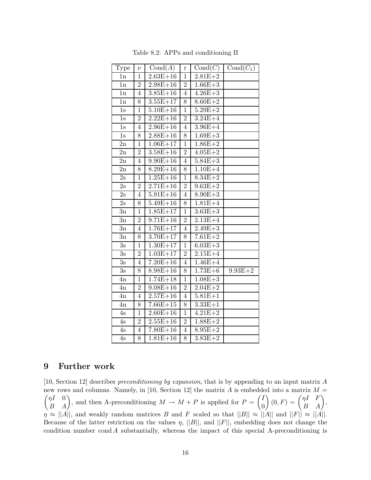| Type          | $\nu$          | Cond(A)      | r              | Cond(C)     | $Cond(C_1)$ |
|---------------|----------------|--------------|----------------|-------------|-------------|
| 1n            | 1              | $2.63E + 16$ | $\mathbf 1$    | $2.81E + 2$ |             |
| 1n            | $\overline{2}$ | $2.98E + 16$ | $\overline{2}$ | $1.66E + 3$ |             |
| 1n            | $\overline{4}$ | $3.85E + 16$ | $\overline{4}$ | $4.26E + 3$ |             |
| 1n            | 8              | $3.55E + 17$ | 8              | $8.60E + 2$ |             |
| 1s            | $\overline{1}$ | $5.10E + 16$ | $\overline{1}$ | $5.29E + 2$ |             |
| 1s            | $\overline{2}$ | $2.22E + 16$ | $\overline{2}$ | $3.24E + 4$ |             |
| 1s            | $\overline{4}$ | $2.96E + 16$ | $\overline{4}$ | $3.96E + 4$ |             |
| $1s$          | 8              | $2.88E + 16$ | 8              | $1.69E + 3$ |             |
| $2\mathrm{n}$ | $\mathbf{1}$   | $1.06E + 17$ | $\overline{1}$ | $1.86E + 2$ |             |
| $2\mathrm{n}$ | $\overline{2}$ | $3.58E + 16$ | $\overline{2}$ | $4.05E + 2$ |             |
| 2n            | $\overline{4}$ | $9.90E + 16$ | $\overline{4}$ | $5.84E + 3$ |             |
| 2n            | 8              | $8.29E + 16$ | 8              | $1.10E + 4$ |             |
| 2s            | $\mathbf{1}$   | $1.25E + 16$ | $\mathbf{1}$   | $8.34E + 2$ |             |
| 2s            | $\overline{2}$ | $2.71E + 16$ | $\overline{2}$ | $9.63E + 2$ |             |
| 2s            | $\overline{4}$ | $5.91E + 16$ | $\overline{4}$ | $8.90E + 3$ |             |
| 2s            | 8              | $5.49E + 16$ | 8              | $1.81E + 4$ |             |
| 3n            | $\mathbf{1}$   | $1.85E + 17$ | $\mathbf{1}$   | $3.63E + 3$ |             |
| 3n            | $\overline{2}$ | $9.71E + 16$ | $\sqrt{2}$     | $2.13E+4$   |             |
| $3\mathrm{n}$ | $\overline{4}$ | $1.76E + 17$ | $\overline{4}$ | $2.49E + 3$ |             |
| 3n            | 8              | $3.70E + 17$ | 8              | $7.61E + 2$ |             |
| 3s            | $\mathbf 1$    | $1.30E + 17$ | $\mathbf{1}$   | $6.03E + 3$ |             |
| 3s            | $\overline{2}$ | $1.03E + 17$ | $\overline{2}$ | $2.15E+4$   |             |
| $3\mathrm{s}$ | $\overline{4}$ | $7.20E + 16$ | $\overline{4}$ | $1.46E + 4$ |             |
| 3s            | 8              | $8.98E + 16$ | 8              | $1.73E + 6$ | $9.93E + 2$ |
| 4n            | $\overline{1}$ | $1.74E + 18$ | $\overline{1}$ | $1.08E + 3$ |             |
| 4n            | $\overline{2}$ | $9.08E + 16$ | $\overline{2}$ | $2.04E + 2$ |             |
| 4n            | $\overline{4}$ | $2.57E + 16$ | $\overline{4}$ | $5.81E + 1$ |             |
| 4n            | 8              | $7.66E + 15$ | 8              | $3.33E + 1$ |             |
| 4s            | $\mathbf{1}$   | $2.60E + 16$ | $\mathbf{1}$   | $4.21E + 2$ |             |
| 4s            | $\overline{2}$ | $2.55E + 16$ | $\overline{2}$ | $1.88E + 2$ |             |
| 4s            | $\overline{4}$ | $7.80E + 16$ | $\overline{4}$ | $8.95E + 2$ |             |
| 4s            | 8              | $1.81E + 16$ | 8              | $3.83E + 2$ |             |

Table 8.2: APPs and conditioning II

## **9 Further work**

[10, Section 12] describes *preconditioning by expansion*, that is by appending to an input matrix A new rows and columns. Namely, in [10, Section 12] the matrix  $A$  is embedded into a matrix  $M =$  $\begin{pmatrix} \eta I & 0 \\ B & A \end{pmatrix}$ , and then A-preconditioning  $M \to M + P$  is applied for  $P = \begin{pmatrix} I \\ 0 \end{pmatrix}$ 0  $\Bigg)\, (0, F) = \begin{pmatrix} \eta I & F \ B & A \end{pmatrix},$  $\eta \approx ||A||$ , and weakly random matrices B and F scaled so that  $||B|| \approx ||A||$  and  $||F|| \approx ||A||$ . Because of the latter rstriction on the values  $\eta$ ,  $||B||$ , and  $||F||$ , embedding does not change the condition number cond  $A$  substantially, whereas the impact of this special A-preconditioning is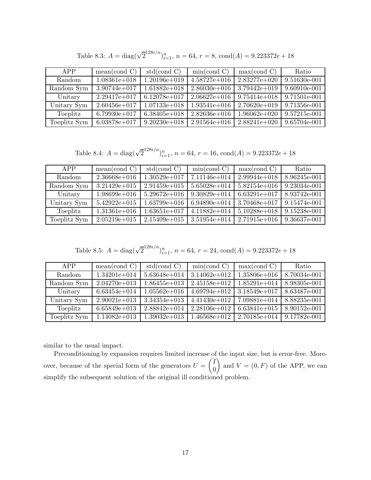| APP          | mean (cond C)    | std(cond C)      | min(cond C)      | max( cond C)     | Ratio        |
|--------------|------------------|------------------|------------------|------------------|--------------|
| Random       | $1.08361e + 018$ | 1.20196e+019     | $4.58727e+016$   | $2.83277e+020$   | 9.51630e-001 |
| Random Sym   | $3.90744e + 017$ | $1.61882e+018$   | $2.86030e + 016$ | $3.79442e + 019$ | 9.60910e-001 |
| Unitary      | $2.29417e + 017$ | $6.12078e+017$   | $2.06627e + 016$ | $9.75414e + 018$ | 9.71501e-001 |
| Unitary Sym  | $2.60456e + 017$ | $1.07133e + 018$ | $1.93541e + 016$ | $2.70620e + 019$ | 9.71356e-001 |
| Toeplitz     | $6.79930e + 017$ | $6.38405e+018$   | $2.82636e + 016$ | $1.96062e+020$   | 9.57215e-001 |
| Toeplitz Sym | $6.03878e + 017$ | $9.20230e + 018$ | $2.91564e + 016$ | $2.88241e+020$   | 9.65704e-001 |

Table 8.3:  $A = \text{diag}(\sqrt{2}^{128i/n})_{i=1}^n$ ,  $n = 64$ ,  $r = 8$ ,  $\text{cond}(A) = 9.223372e + 18$ 

Table 8.4:  $A = \text{diag}(\sqrt{2}^{128i/n})_{i=1}^n$ ,  $n = 64$ ,  $r = 16$ ,  $\text{cond}(A) = 9.223372e + 18$ 

| APP          | mean(cond C)     | std(cond C)      | min(cond C)      | max( cond C)     | Ratio        |
|--------------|------------------|------------------|------------------|------------------|--------------|
| Random       | $2.36668e + 016$ | $1.30529e + 017$ | $7.11146e + 014$ | $2.99944e+018$   | 8.96245e-001 |
| Random Sym   | $3.21429e + 015$ | $2.91459e+015$   | $5.65028e + 014$ | $5.82154e + 016$ | 9.23034e-001 |
| Unitary      | $1.98699e+016$   | $5.29672e+016$   | $9.30829e + 014$ | $6.63291e+017$   | 8.93742e-001 |
| Unitary Sym  | $5.42922e+015$   | $1.63799e+016$   | $6.94890e + 014$ | $3.70468e + 017$ | 9.15474e-001 |
| Toeplitz     | $1.31361e+016$   | $1.63651e+017$   | $4.11882e+014$   | $5.10288e + 018$ | 9.15238e-001 |
| Toeplitz Sym | $2.05219e + 015$ | $2.15409e + 015$ | $3.51954e+014$   | $2.71915e + 016$ | 9.36637e-001 |

Table 8.5: 
$$
A = \text{diag}(\sqrt{2}^{128i/n})_{i=1}^n
$$
,  $n = 64$ ,  $r = 24$ , cond $(A) = 9.223372e + 18$ 

| APP           | mean (cond C)    | std(cond C)      | min(cond C)      | max( cond C)     | Ratio        |
|---------------|------------------|------------------|------------------|------------------|--------------|
| <b>Random</b> | $1.34201e + 014$ | $5.63648e + 014$ | $3.14062e + 012$ | $1.35806e + 016$ | 8.70034e-001 |
| Random Sym    | $2.04270e + 013$ | $1.86455e+013$   | $2.45158e + 012$ | $1.85291e+014$   | 8.98305e-001 |
| Unitary       | $6.63454e + 014$ | $1.05562e+016$   | $4.69794e+012$   | $3.18549e + 017$ | 8.63487e-001 |
| Unitary Sym   | $2.90021e+013$   | $3.34354e + 013$ | $4.41430e + 012$ | $7.09881e+014$   | 8.88235e-001 |
| Toeplitz      | $6.65849e+013$   | $2.88842e+014$   | $2.28106e + 012$ | $6.63841e+015$   | 8.90152e-001 |
| Toeplitz Sym  | $1.14082e+013$   | $1.39032e+013$   | $1.46568e + 012$ | $2.70185e + 014$ | 9.17782e-001 |

similar to the usual impact.

Preconditioning by expansion requires limited increase of the input size, but is error-free. Moreover, because of the special form of the generators  $U = \begin{pmatrix} I & 0 \\ 0 & I \end{pmatrix}$ 0 and  $V = (0, F)$  of the APP, we can simplify the subsequent solution of the original ill conditioned problem.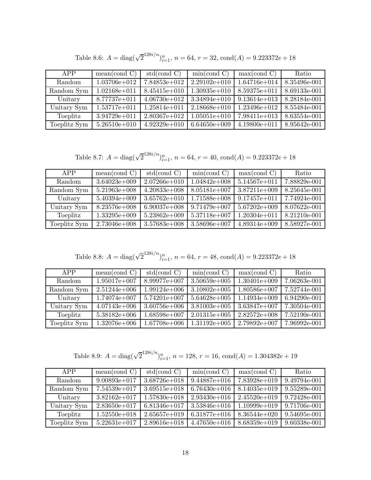| APP          | mean (cond C)    | std(cond C)      | min(cond C)      | max( cond C)     | Ratio        |
|--------------|------------------|------------------|------------------|------------------|--------------|
| Random       | $1.03706e + 012$ | $7.84853e+012$   | $2.29102e + 010$ | $1.64716e + 014$ | 8.35496e-001 |
| Random Sym   | $1.02168e + 011$ | $8.45415e+010$   | $1.30935e+010$   | $8.59375e + 011$ | 8.69133e-001 |
| Unitary      | 8.77737e+011     | $4.06730e + 012$ | $3.34894e+010$   | $9.13614e + 013$ | 8.28184e-001 |
| Unitary Sym  | $1.53717e + 011$ | $1.25814e + 011$ | $2.18668e + 010$ | $1.23496e + 012$ | 8.55484e-001 |
| Toeplitz     | $3.94729e + 011$ | $2.80367e+012$   | $1.05051e + 010$ | $7.98411e+013$   | 8.63554e-001 |
| Toeplitz Sym | $5.26510e + 010$ | $4.92329e+010$   | $6.64650e + 009$ | $4.19800e + 011$ | 8.95642e-001 |

Table 8.6:  $A = \text{diag}(\sqrt{2}^{128i/n})_{i=1}^n$ ,  $n = 64$ ,  $r = 32$ ,  $\text{cond}(A) = 9.223372e + 18$ 

Table 8.7:  $A = \text{diag}(\sqrt{2}^{128i/n})_{i=1}^n$ ,  $n = 64$ ,  $r = 40$ ,  $\text{cond}(A) = 9.223372e + 18$ 

| APP          | mean (cond C)    | std(cond C)      | min(cond C)      | max( cond C)     | Ratio        |
|--------------|------------------|------------------|------------------|------------------|--------------|
| Random       | $3.64023e+009$   | $2.07266e + 010$ | $1.04842e+008$   | $5.14567e + 011$ | 7.88829e-001 |
| Random Sym   | $5.21963e+008$   | $4.20833e+008$   | $8.05181e+007$   | $3.87211e+009$   | 8.25645e-001 |
| Unitary      | $5.40394e+009$   | $3.65762e + 010$ | $1.71588e + 008$ | $9.17457e + 011$ | 7.74924e-001 |
| Unitary Sym  | $8.23576e+008$   | $6.90037e+008$   | $9.71479e+007$   | $5.67202e+009$   | 8.07622e-001 |
| Toeplitz     | $1.33295e+009$   | $5.23862e+009$   | $5.37118e+007$   | $1.20304e+011$   | 8.21210e-001 |
| Toeplitz Sym | $2.73046e + 008$ | $3.57683e+008$   | $3.58696e + 007$ | $4.89314e+009$   | 8.58927e-001 |

Table 8.8:  $A = \text{diag}(\sqrt{2}^{128i/n})_{i=1}^n$ ,  $n = 64$ ,  $r = 48$ ,  $\text{cond}(A) = 9.223372e + 18$ 

| APP          | mean(cond C)   | std(cond C)      | min(cond C)      | max( cond C)   | Ratio        |
|--------------|----------------|------------------|------------------|----------------|--------------|
| Random       | $1.95017e+007$ | 8.99977e+007     | $3.50659e+005$   | $1.30401e+009$ | 7.06263e-001 |
| Random Sym   | $2.51244e+006$ | $1.99124e+006$   | $3.10802e+005$   | $1.80586e+007$ | 7.52744e-001 |
| Unitary      | $1.74074e+007$ | $5.74201e+007$   | $5.64628e + 005$ | $1.14934e+009$ | 6.94290e-001 |
| Unitary Sym  | $4.07143e+006$ | $3.60756e + 006$ | $3.81003e+005$   | $3.63847e+007$ | 7.30504e-001 |
| Toeplitz     | $5.38182e+006$ | 1.68598e+007     | $2.01315e+005$   | $2.82572e+008$ | 7.52190e-001 |
| Toeplitz Sym | $1.32076e+006$ | $1.67708e + 006$ | $1.31192e+005$   | $2.79892e+007$ | 7.96992e-001 |

Table 8.9:  $A = \text{diag}(\sqrt{2}^{128i/n})_{i=1}^n$ ,  $n = 128$ ,  $r = 16$ ,  $\text{cond}(A) = 1.304382e + 19$ 

| APP           | mean (cond C)    | std(cond C)      | min(cond C)      | max( cond C)     | Ratio        |
|---------------|------------------|------------------|------------------|------------------|--------------|
| <b>Random</b> | $9.00893e+017$   | $3.68726e + 018$ | $9.44887e + 016$ | 7.83928e+019     | 9.49794e-001 |
| Random Sym    | $7.54539e+017$   | $3.69515e + 018$ | $6.76430e + 016$ | $8.14035e + 019$ | 9.55289e-001 |
| Unitary       | $3.82162e + 017$ | $1.57830e+018$   | $2.93430e + 016$ | $2.45520e + 019$ | 9.72428e-001 |
| Unitary Sym   | $2.83650e + 017$ | $6.81346e + 017$ | $3.53846e + 016$ | $1.10999e+019$   | 9.71706e-001 |
| Toeplitz      | $1.52550e + 018$ | $2.65657e+019$   | $6.31877e+016$   | $8.36544e+020$   | 9.54695e-001 |
| Toeplitz Sym  | $5.22631e+017$   | $2.89616e + 018$ | $4.47650e + 016$ | $8.68359e + 019$ | 9.60338e-001 |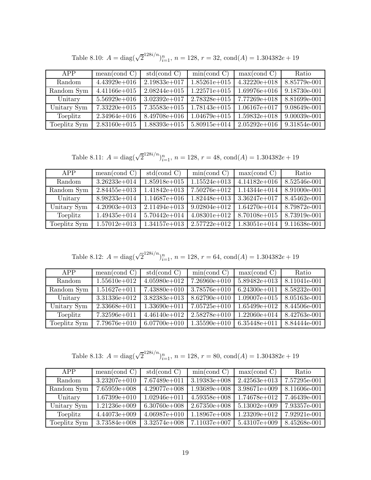| APP          | mean(cond C)     | std(cond C)      | min(cond C)      | max( cond C)     | Ratio        |
|--------------|------------------|------------------|------------------|------------------|--------------|
| Random       | $4.43929e+016$   | $2.19833e+017$   | $1.85261e+015$   | $4.32220e+018$   | 8.85779e-001 |
| Random Sym   | $4.41166e + 015$ | $2.08244e+015$   | $1.22571e+015$   | $1.69976e + 016$ | 9.18730e-001 |
| Unitary      | $5.56929e + 016$ | $3.02392e+017$   | $2.78328e + 015$ | $7.77269e + 018$ | 8.81699e-001 |
| Unitary Sym  | $7.33220e + 015$ | $7.35583e+015$   | $1.78143e+015$   | $1.06167e + 017$ | 9.08649e-001 |
| Toeplitz     | $2.34964e + 016$ | $8.49708e + 016$ | $1.04679e + 015$ | $1.59832e+018$   | 9.00039e-001 |
| Toeplitz Sym | $2.83160e + 015$ | $1.88393e+015$   | $5.80915e+014$   | $2.05292e+016$   | 9.31854e-001 |

Table 8.10:  $A = \text{diag}(\sqrt{2}^{128i/n})_{i=1}^n$ ,  $n = 128$ ,  $r = 32$ ,  $\text{cond}(A) = 1.304382e + 19$ 

Table 8.11:  $A = \text{diag}(\sqrt{2}^{128i/n})_{i=1}^n$ ,  $n = 128$ ,  $r = 48$ ,  $\text{cond}(A) = 1.304382e + 19$ 

| APP          | mean (cond C)    | std(cond C)      | min(cond C)      | max( cond C)     | Ratio        |
|--------------|------------------|------------------|------------------|------------------|--------------|
| Random       | $3.26233e + 014$ | $1.85918e + 015$ | $1.15524e+013$   | $4.14182e+016$   | 8.52546e-001 |
| Random Sym   | $2.84455e+013$   | $1.41842e+013$   | $7.50276e + 012$ | $1.14344e+014$   | 8.91000e-001 |
| Unitary      | $8.98233e + 014$ | $1.14687e+016$   | $1.82448e+013$   | $3.36247e+017$   | 8.45462e-001 |
| Unitary Sym  | $4.20903e+013$   | $2.11494e+013$   | $9.02804e + 012$ | $1.64270e + 014$ | 8.79872e-001 |
| Toeplitz     | $1.49435e + 014$ | $5.70442e + 014$ | $4.08301e+012$   | $8.70108e + 015$ | 8.73919e-001 |
| Toeplitz Sym | $1.57012e+013$   | $1.34157e+013$   | $2.57722e+012$   | $1.83051e+014$   | 9.11638e-001 |

Table 8.12:  $A = \text{diag}(\sqrt{2}^{128i/n})_{i=1}^n$ ,  $n = 128$ ,  $r = 64$ ,  $\text{cond}(A) = 1.304382e + 19$ 

| APP           | mean (cond C)    | std(cond C)      | min(cond C)      | max( cond C)     | Ratio        |
|---------------|------------------|------------------|------------------|------------------|--------------|
| <b>Random</b> | $1.55610e + 012$ | $4.05980e+012$   | $7.26960e + 010$ | $5.89482e+013$   | 8.11041e-001 |
| Random Sym    | $1.51627e + 011$ | $7.43880e+010$   | $3.78576e + 010$ | $6.24300e + 011$ | 8.58232e-001 |
| Unitary       | $3.31336e + 012$ | $3.82383e+013$   | $8.62790e + 010$ | $1.09007e + 015$ | 8.05163e-001 |
| Unitary Sym   | $2.33668e + 011$ | $1.33690e + 011$ | $7.05725e+010$   | $1.65499e+012$   | 8.44506e-001 |
| Toeplitz      | $7.32596e + 011$ | $4.46140e + 012$ | $2.58278e+010$   | $1.22060e + 014$ | 8.42763e-001 |
| Toeplitz Sym  | 7.79676e+010     | $6.07700e + 010$ | $1.35590e + 010$ | $6.35448e+011$   | 8.84444e-001 |

Table 8.13:  $A = \text{diag}(\sqrt{2}^{128i/n})_{i=1}^n$ ,  $n = 128$ ,  $r = 80$ ,  $\text{cond}(A) = 1.304382e + 19$ 

| APP          | mean (cond C)    | std(cond C)      | min(cond C)      | max(cond C)      | Ratio        |
|--------------|------------------|------------------|------------------|------------------|--------------|
| Random       | $3.23207e + 010$ | $7.67489e+011$   | $3.19383e+008$   | $2.42563e+013$   | 7.57295e-001 |
| Random Sym   | $7.65959e+008$   | $4.29077e+008$   | $1.93689e+008$   | $3.98671e+009$   | 8.11606e-001 |
| Unitary      | $1.67399e+010$   | $1.02946e + 011$ | $4.59358e+008$   | $1.74678e + 012$ | 7.46439e-001 |
| Unitary Sym  | $1.21236e + 009$ | $6.30760e + 008$ | $2.67350e + 008$ | $5.13002e+009$   | 7.93357e-001 |
| Toeplitz     | $4.44073e+009$   | $4.06987e+010$   | $1.18967e+008$   | $1.23209e+012$   | 7.92921e-001 |
| Toeplitz Sym | $3.73584e+008$   | $3.32574e+008$   | 7.11037e+007     | $5.43107e+009$   | 8.45268e-001 |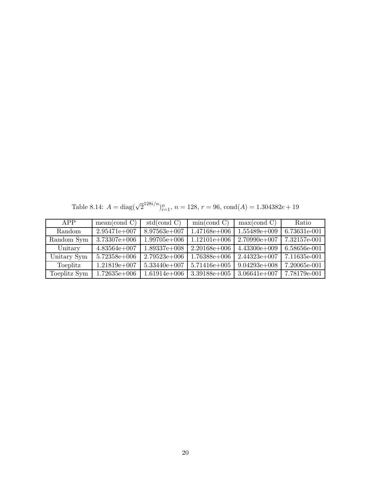Table 8.14:  $A = \text{diag}(\sqrt{2}^{128i/n})_{i=1}^n$ ,  $n = 128$ ,  $r = 96$ ,  $\text{cond}(A) = 1.304382e + 19$ 

| APP          | mean (cond C)    | std(cond C)      | min(cond C)      | max(cond C)      | Ratio        |
|--------------|------------------|------------------|------------------|------------------|--------------|
| Random       | $2.95471e+007$   | $8.97563e+007$   | $1.47168e + 006$ | $1.55489e+009$   | 6.73631e-001 |
| Random Sym   | $3.73307e + 006$ | $1.99705e + 006$ | $1.12101e+006$   | $2.70990e + 007$ | 7.32157e-001 |
| Unitary      | $4.83564e+007$   | $1.89337e+008$   | $2.20168e + 006$ | $4.43300e+009$   | 6.58656e-001 |
| Unitary Sym  | $5.72358e + 006$ | $2.79523e+006$   | $1.76388e + 006$ | $2.44323e+007$   | 7.11635e-001 |
| Toeplitz     | $1.21819e+007$   | $5.33440e+007$   | $5.71416e + 005$ | $9.04293e+008$   | 7.20065e-001 |
| Toeplitz Sym | $1.72635e+006$   | $1.61914e+006$   | $3.39188e + 005$ | $3.06641e + 007$ | 7.78179e-001 |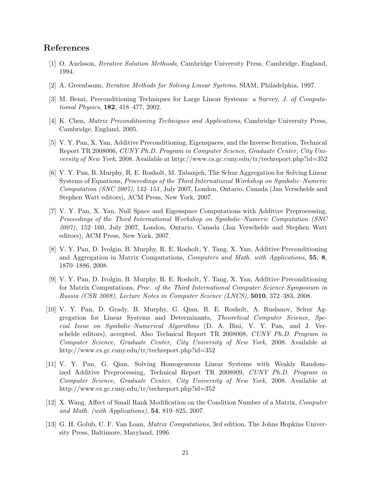## **References**

- [1] O. Axelsson, *Iterative Solution Methiods*, Cambridge University Press, Cambridge, England, 1994.
- [2] A. Greenbaum, *Iterative Methods for Solving Linear Systems*, SIAM, Philadelphia, 1997.
- [3] M. Benzi, Preconditioning Techniques for Large Linear Systems: a Survey, *J. of Computational Physics*, **182**, 418–477, 2002.
- [4] K. Chen, *Matrix Preconditioning Techniques and Applications*, Cambridge University Press, Cambridge, England, 2005.
- [5] V. Y. Pan, X. Yan, Additive Preconditioning, Eigenspaces, and the Inverse Iteration, Technical Report TR 2008006, *CUNY Ph.D. Program in Computer Science, Graduate Center, City University of New York*, 2008. Available at http://www.cs.gc.cuny.edu/tr/techreport.php?id=352
- [6] V. Y. Pan, B. Murphy, R. E. Rosholt, M. Tabanjeh, The Schur Aggregation for Solving Linear Systems of Equations, *Proceedings of the Third International Workshop on Symbolic–Numeric Computation (SNC 2007)*, 142–151, July 2007, London, Ontario, Canada (Jan Verschelde and Stephen Watt editors), ACM Press, New York, 2007.
- [7] V. Y. Pan, X. Yan, Null Space and Eigenspace Computations with Additive Preprocessing, *Proceedings of the Third International Workshop on Symbolic–Numeric Computation (SNC 2007)*, 152–160, July 2007, London, Ontario, Canada (Jan Verschelde and Stephen Watt editors), ACM Press, New York, 2007.
- [8] V. Y. Pan, D. Ivolgin, B. Murphy, R. E. Rosholt, Y. Tang, X. Yan, Additive Preconditioning and Aggregation in Matrix Computations, *Computers and Math. with Applications*, **55**, **8**, 1870–1886, 2008.
- [9] V. Y. Pan, D. Ivolgin, B. Murphy, R. E. Rosholt, Y. Tang, X. Yan, Additive Preconditioning for Matrix Computations, *Proc. of the Third International Computer Science Symposium in Russia (CSR 2008)*, *Lecture Notes in Computer Science (LNCS)*, **5010**, 372–383, 2008.
- [10] V. Y. Pan, D. Grady, B. Murphy, G. Qian, R. E. Rosholt, A. Ruslanov, Schur Aggregation for Linear Systems and Determinants, *Theoretical Computer Science*, *Special Issue on Symbolic–Numerical Algorithms* (D. A. Bini, V. Y. Pan, and J. Verschelde editors), accepted. Also Technical Report TR 2008008, *CUNY Ph.D. Program in Computer Science, Graduate Center, City University of New York*, 2008. Available at http://www.cs.gc.cuny.edu/tr/techreport.php?id=352
- [11] V. Y. Pan, G. Qian, Solving Homogeneous Linear Systems with Weakly Randomized Additive Preprocessing, Technical Report TR 2008009, *CUNY Ph.D. Program in Computer Science, Graduate Center, City University of New York*, 2008. Available at http://www.cs.gc.cuny.edu/tr/techreport.php?id=352
- [12] X. Wang, Affect of Small Rank Modification on the Condition Number of a Matrix, *Computer and Math. (with Applications)*, **54**, 819–825, 2007.
- [13] G. H. Golub, C. F. Van Loan, *Matrix Computations*, 3rd edition, The Johns Hopkins University Press, Baltimore, Maryland, 1996.